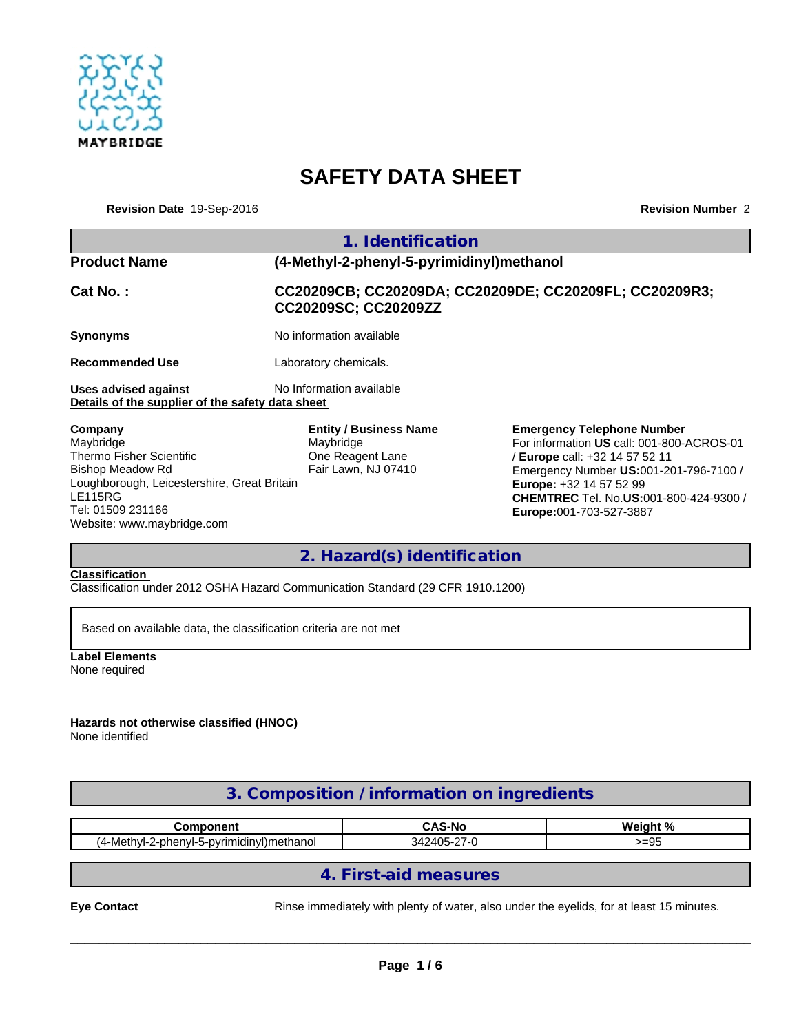

# **SAFETY DATA SHEET**

**Revision Date** 19-Sep-2016

**Revision Number** 2

|                                                                                                                                                     | 1. Identification                                                                     |                                                                                                                                                                                                                                                                                 |  |  |
|-----------------------------------------------------------------------------------------------------------------------------------------------------|---------------------------------------------------------------------------------------|---------------------------------------------------------------------------------------------------------------------------------------------------------------------------------------------------------------------------------------------------------------------------------|--|--|
| <b>Product Name</b>                                                                                                                                 | (4-Methyl-2-phenyl-5-pyrimidinyl)methanol                                             |                                                                                                                                                                                                                                                                                 |  |  |
| Cat No.:                                                                                                                                            | CC20209CB; CC20209DA; CC20209DE; CC20209FL; CC20209R3;<br>CC20209SC; CC20209ZZ        |                                                                                                                                                                                                                                                                                 |  |  |
| <b>Synonyms</b>                                                                                                                                     | No information available                                                              |                                                                                                                                                                                                                                                                                 |  |  |
| <b>Recommended Use</b>                                                                                                                              | Laboratory chemicals.                                                                 |                                                                                                                                                                                                                                                                                 |  |  |
| <b>Uses advised against</b><br>Details of the supplier of the safety data sheet                                                                     | No Information available                                                              |                                                                                                                                                                                                                                                                                 |  |  |
| Company<br>Maybridge<br>Thermo Fisher Scientific<br>Bishop Meadow Rd<br>Loughborough, Leicestershire, Great Britain<br>LE115RG<br>Tel: 01509 231166 | <b>Entity / Business Name</b><br>Maybridge<br>One Reagent Lane<br>Fair Lawn, NJ 07410 | <b>Emergency Telephone Number</b><br>For information US call: 001-800-ACROS-01<br>/ <b>Europe</b> call: +32 14 57 52 11<br>Emergency Number US:001-201-796-7100 /<br><b>Europe: +32 14 57 52 99</b><br><b>CHEMTREC</b> Tel. No.US:001-800-424-9300 /<br>Europe:001-703-527-3887 |  |  |

## **2. Hazard(s) identification**

**Classification** 

Website: www.maybridge.com

Classification under 2012 OSHA Hazard Communication Standard (29 CFR 1910.1200)

Based on available data, the classification criteria are not met

**Label Elements**  None required

**Hazards not otherwise classified (HNOC)** 

None identified

## **3. Composition / information on ingredients**

| - --- -- - -- - -- <b>-</b><br>nent                         | <b>CAS-No</b>                            | <b>د م</b><br><b>Wainh</b>     |
|-------------------------------------------------------------|------------------------------------------|--------------------------------|
| Meth<br>-pyrimidinyl)methano.<br>7-nh<br>. д.<br>,,,,,<br>. | 10F<br>31 <sup>2</sup><br>--<br>11<br>-- | $\sim$<br>$-1$<br><b>-- Ju</b> |

## **4. First-aid measures**

**Eye Contact Exercise 20 Rinse immediately with plenty of water, also under the eyelids, for at least 15 minutes.**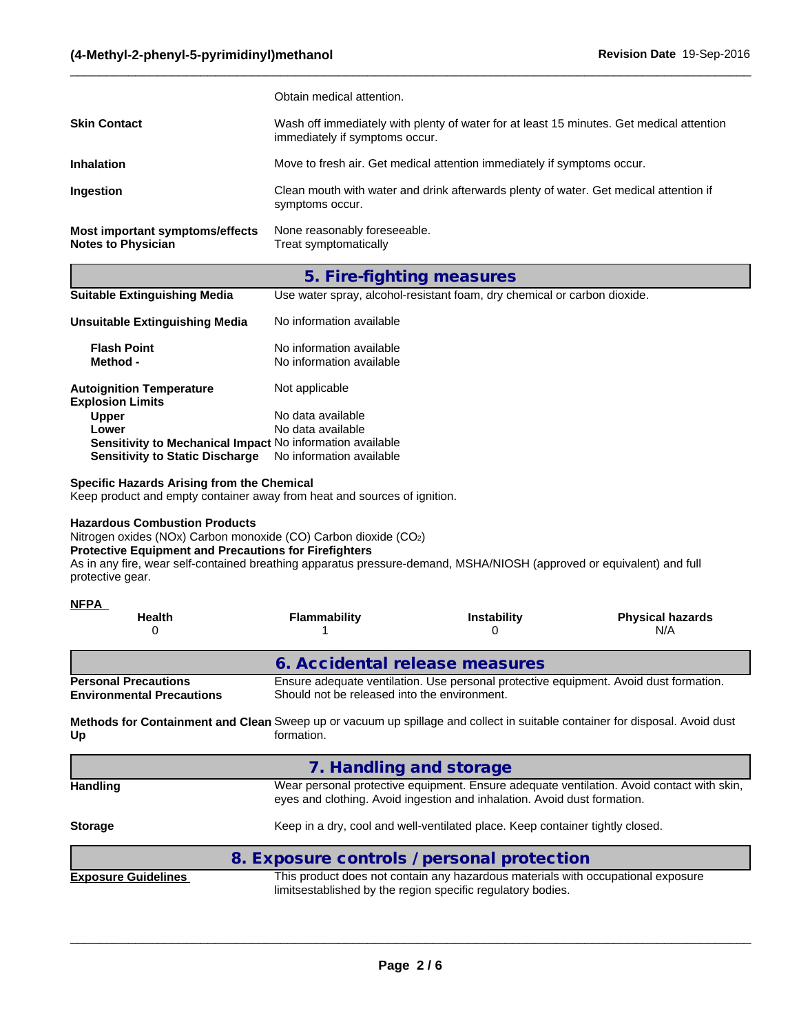|                                                              | Obtain medical attention.                                                                                                  |
|--------------------------------------------------------------|----------------------------------------------------------------------------------------------------------------------------|
| <b>Skin Contact</b>                                          | Wash off immediately with plenty of water for at least 15 minutes. Get medical attention<br>immediately if symptoms occur. |
| <b>Inhalation</b>                                            | Move to fresh air. Get medical attention immediately if symptoms occur.                                                    |
| <b>Ingestion</b>                                             | Clean mouth with water and drink afterwards plenty of water. Get medical attention if<br>symptoms occur.                   |
| Most important symptoms/effects<br><b>Notes to Physician</b> | None reasonably foreseeable.<br>Treat symptomatically                                                                      |

 $\_$  ,  $\_$  ,  $\_$  ,  $\_$  ,  $\_$  ,  $\_$  ,  $\_$  ,  $\_$  ,  $\_$  ,  $\_$  ,  $\_$  ,  $\_$  ,  $\_$  ,  $\_$  ,  $\_$  ,  $\_$  ,  $\_$  ,  $\_$  ,  $\_$  ,  $\_$  ,  $\_$  ,  $\_$  ,  $\_$  ,  $\_$  ,  $\_$  ,  $\_$  ,  $\_$  ,  $\_$  ,  $\_$  ,  $\_$  ,  $\_$  ,  $\_$  ,  $\_$  ,  $\_$  ,  $\_$  ,  $\_$  ,  $\_$  ,

### **5. Fire-fighting measures**

|                                                            | ຼ<br>ຼ                                                                   |
|------------------------------------------------------------|--------------------------------------------------------------------------|
| <b>Suitable Extinguishing Media</b>                        | Use water spray, alcohol-resistant foam, dry chemical or carbon dioxide. |
| Unsuitable Extinguishing Media                             | No information available                                                 |
| <b>Flash Point</b><br>Method -                             | No information available<br>No information available                     |
| <b>Autoignition Temperature</b><br><b>Explosion Limits</b> | Not applicable                                                           |
| <b>Upper</b>                                               | No data available                                                        |
| Lower                                                      | No data available                                                        |
| Sensitivity to Mechanical Impact No information available  |                                                                          |
| <b>Sensitivity to Static Discharge</b>                     | No information available                                                 |

#### **Specific Hazards Arising from the Chemical**

Keep product and empty container away from heat and sources of ignition.

#### **Hazardous Combustion Products**

Nitrogen oxides (NOx) Carbon monoxide (CO) Carbon dioxide (CO2)

#### **Protective Equipment and Precautions for Firefighters**

As in any fire, wear self-contained breathing apparatus pressure-demand, MSHA/NIOSH (approved or equivalent) and full protective gear.

| <b>NFPA</b>                                                                                                                       |                                                                                                                                       |                                                                                                                                                 |                                                                                           |  |  |  |
|-----------------------------------------------------------------------------------------------------------------------------------|---------------------------------------------------------------------------------------------------------------------------------------|-------------------------------------------------------------------------------------------------------------------------------------------------|-------------------------------------------------------------------------------------------|--|--|--|
| <b>Health</b><br>0                                                                                                                | <b>Flammability</b>                                                                                                                   | <b>Instability</b><br>0                                                                                                                         | <b>Physical hazards</b><br>N/A                                                            |  |  |  |
|                                                                                                                                   |                                                                                                                                       | 6. Accidental release measures                                                                                                                  |                                                                                           |  |  |  |
| <b>Personal Precautions</b><br><b>Environmental Precautions</b>                                                                   | Ensure adequate ventilation. Use personal protective equipment. Avoid dust formation.<br>Should not be released into the environment. |                                                                                                                                                 |                                                                                           |  |  |  |
| Methods for Containment and Clean Sweep up or vacuum up spillage and collect in suitable container for disposal. Avoid dust<br>Up | formation.                                                                                                                            |                                                                                                                                                 |                                                                                           |  |  |  |
|                                                                                                                                   |                                                                                                                                       | 7. Handling and storage                                                                                                                         |                                                                                           |  |  |  |
| <b>Handling</b>                                                                                                                   |                                                                                                                                       | eyes and clothing. Avoid ingestion and inhalation. Avoid dust formation.                                                                        | Wear personal protective equipment. Ensure adequate ventilation. Avoid contact with skin, |  |  |  |
| <b>Storage</b>                                                                                                                    | Keep in a dry, cool and well-ventilated place. Keep container tightly closed.                                                         |                                                                                                                                                 |                                                                                           |  |  |  |
|                                                                                                                                   |                                                                                                                                       | 8. Exposure controls / personal protection                                                                                                      |                                                                                           |  |  |  |
| <b>Exposure Guidelines</b>                                                                                                        |                                                                                                                                       | This product does not contain any hazardous materials with occupational exposure<br>limitsestablished by the region specific regulatory bodies. |                                                                                           |  |  |  |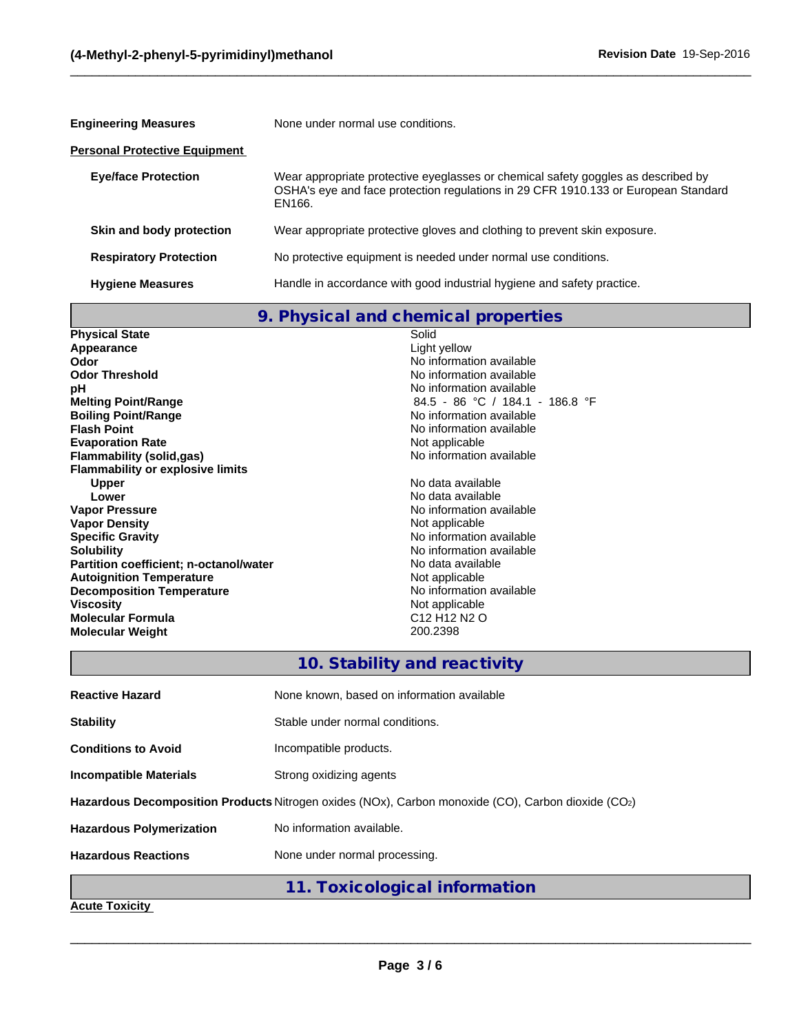| <b>Engineering Measures</b><br>None under normal use conditions. |                                                                                                                                                                                   |  |  |
|------------------------------------------------------------------|-----------------------------------------------------------------------------------------------------------------------------------------------------------------------------------|--|--|
| Personal Protective Equipment                                    |                                                                                                                                                                                   |  |  |
| <b>Eye/face Protection</b>                                       | Wear appropriate protective eyeglasses or chemical safety goggles as described by<br>OSHA's eye and face protection regulations in 29 CFR 1910.133 or European Standard<br>EN166. |  |  |
| Skin and body protection                                         | Wear appropriate protective gloves and clothing to prevent skin exposure.                                                                                                         |  |  |
| <b>Respiratory Protection</b>                                    | No protective equipment is needed under normal use conditions.                                                                                                                    |  |  |
| <b>Hygiene Measures</b>                                          | Handle in accordance with good industrial hygiene and safety practice.                                                                                                            |  |  |

 $\_$  ,  $\_$  ,  $\_$  ,  $\_$  ,  $\_$  ,  $\_$  ,  $\_$  ,  $\_$  ,  $\_$  ,  $\_$  ,  $\_$  ,  $\_$  ,  $\_$  ,  $\_$  ,  $\_$  ,  $\_$  ,  $\_$  ,  $\_$  ,  $\_$  ,  $\_$  ,  $\_$  ,  $\_$  ,  $\_$  ,  $\_$  ,  $\_$  ,  $\_$  ,  $\_$  ,  $\_$  ,  $\_$  ,  $\_$  ,  $\_$  ,  $\_$  ,  $\_$  ,  $\_$  ,  $\_$  ,  $\_$  ,  $\_$  ,

**9. Physical and chemical properties**

| <b>Physical State</b>                   | Solid                                            |
|-----------------------------------------|--------------------------------------------------|
| Appearance                              | Light yellow                                     |
| Odor                                    | No information available                         |
| <b>Odor Threshold</b>                   | No information available                         |
| рH                                      | No information available                         |
| <b>Melting Point/Range</b>              | 84.5 - 86 °C / 184.1 - 186.8 °F                  |
| <b>Boiling Point/Range</b>              | No information available                         |
| <b>Flash Point</b>                      | No information available                         |
| <b>Evaporation Rate</b>                 | Not applicable                                   |
| Flammability (solid,gas)                | No information available                         |
| <b>Flammability or explosive limits</b> |                                                  |
| <b>Upper</b>                            | No data available                                |
| Lower                                   | No data available                                |
| <b>Vapor Pressure</b>                   | No information available                         |
| <b>Vapor Density</b>                    | Not applicable                                   |
| <b>Specific Gravity</b>                 | No information available                         |
| <b>Solubility</b>                       | No information available                         |
| Partition coefficient; n-octanol/water  | No data available                                |
| <b>Autoignition Temperature</b>         | Not applicable                                   |
| <b>Decomposition Temperature</b>        | No information available                         |
| <b>Viscosity</b>                        | Not applicable                                   |
| <b>Molecular Formula</b>                | C <sub>12</sub> H <sub>12</sub> N <sub>2</sub> O |
| <b>Molecular Weight</b>                 | 200.2398                                         |
|                                         |                                                  |

## **10. Stability and reactivity**

| <b>Reactive Hazard</b>                                                                             | None known, based on information available |  |
|----------------------------------------------------------------------------------------------------|--------------------------------------------|--|
| <b>Stability</b>                                                                                   | Stable under normal conditions.            |  |
| <b>Conditions to Avoid</b>                                                                         | Incompatible products.                     |  |
| <b>Incompatible Materials</b>                                                                      | Strong oxidizing agents                    |  |
| Hazardous Decomposition Products Nitrogen oxides (NOx), Carbon monoxide (CO), Carbon dioxide (CO2) |                                            |  |
| <b>Hazardous Polymerization</b>                                                                    | No information available.                  |  |
| <b>Hazardous Reactions</b>                                                                         | None under normal processing.              |  |
|                                                                                                    | 11. Toxicological information              |  |

**Acute Toxicity**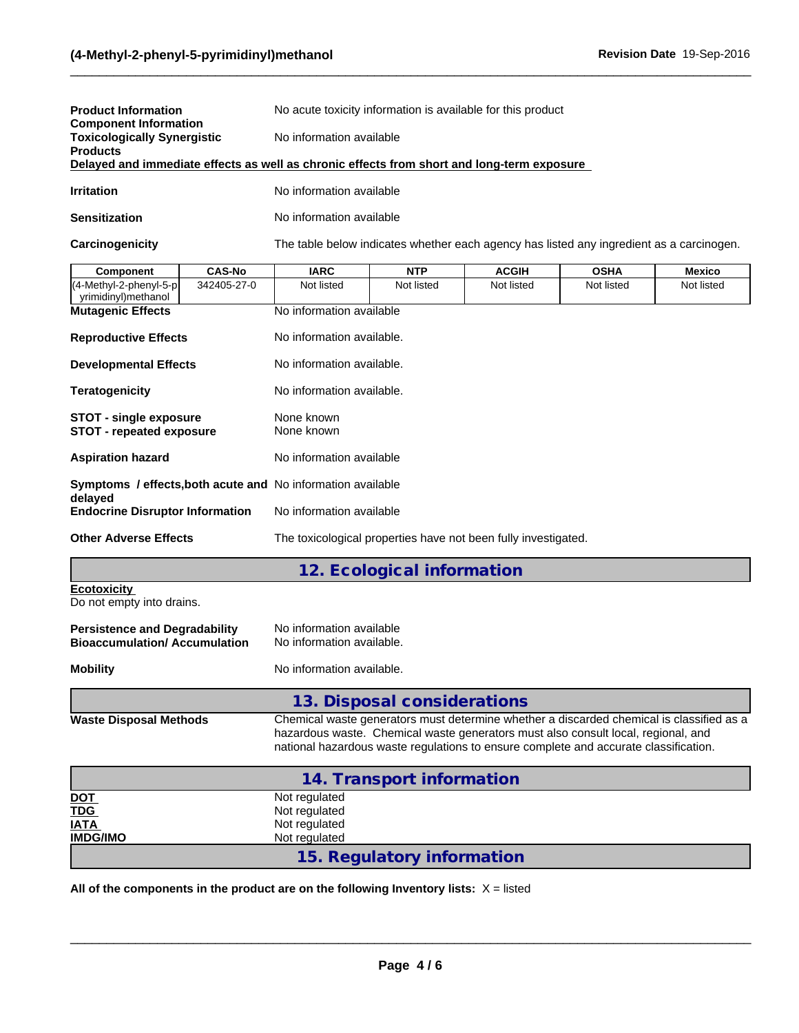| <b>Product Information</b>                                                                 | No acute toxicity information is available for this product |  |  |  |
|--------------------------------------------------------------------------------------------|-------------------------------------------------------------|--|--|--|
| <b>Component Information</b><br><b>Toxicologically Synergistic</b>                         | No information available                                    |  |  |  |
| <b>Products</b>                                                                            |                                                             |  |  |  |
| Delayed and immediate effects as well as chronic effects from short and long-term exposure |                                                             |  |  |  |
| <b>Irritation</b>                                                                          | No information available                                    |  |  |  |

**Sensitization** No information available

**Carcinogenicity** The table below indicates whether each agency has listed any ingredient as a carcinogen.

 $\_$  ,  $\_$  ,  $\_$  ,  $\_$  ,  $\_$  ,  $\_$  ,  $\_$  ,  $\_$  ,  $\_$  ,  $\_$  ,  $\_$  ,  $\_$  ,  $\_$  ,  $\_$  ,  $\_$  ,  $\_$  ,  $\_$  ,  $\_$  ,  $\_$  ,  $\_$  ,  $\_$  ,  $\_$  ,  $\_$  ,  $\_$  ,  $\_$  ,  $\_$  ,  $\_$  ,  $\_$  ,  $\_$  ,  $\_$  ,  $\_$  ,  $\_$  ,  $\_$  ,  $\_$  ,  $\_$  ,  $\_$  ,  $\_$  ,

| <b>Component</b>                                                            | <b>CAS-No</b> | <b>IARC</b>                                                    | <b>NTP</b>                 | <b>ACGIH</b> | <b>OSHA</b> | <b>Mexico</b> |  |  |
|-----------------------------------------------------------------------------|---------------|----------------------------------------------------------------|----------------------------|--------------|-------------|---------------|--|--|
| (4-Methyl-2-phenyl-5-p<br>yrimidinyl)methanol                               | 342405-27-0   | Not listed                                                     | Not listed                 | Not listed   | Not listed  | Not listed    |  |  |
| <b>Mutagenic Effects</b><br><b>Reproductive Effects</b>                     |               | No information available                                       |                            |              |             |               |  |  |
|                                                                             |               | No information available.                                      |                            |              |             |               |  |  |
| <b>Developmental Effects</b>                                                |               | No information available.<br>No information available.         |                            |              |             |               |  |  |
| <b>Teratogenicity</b>                                                       |               |                                                                |                            |              |             |               |  |  |
| <b>STOT - single exposure</b><br><b>STOT - repeated exposure</b>            |               | None known<br>None known                                       |                            |              |             |               |  |  |
| <b>Aspiration hazard</b>                                                    |               | No information available                                       |                            |              |             |               |  |  |
|                                                                             |               | Symptoms / effects, both acute and No information available    |                            |              |             |               |  |  |
| delayed<br><b>Endocrine Disruptor Information</b>                           |               | No information available                                       |                            |              |             |               |  |  |
| <b>Other Adverse Effects</b>                                                |               | The toxicological properties have not been fully investigated. |                            |              |             |               |  |  |
|                                                                             |               |                                                                | 12. Ecological information |              |             |               |  |  |
| <b>Ecotoxicity</b><br>Do not empty into drains.                             |               |                                                                |                            |              |             |               |  |  |
| <b>Persistence and Degradability</b><br><b>Bioaccumulation/Accumulation</b> |               | No information available<br>No information available.          |                            |              |             |               |  |  |
|                                                                             |               |                                                                |                            |              |             |               |  |  |

#### **Mobility** No information available.

**13. Disposal considerations**

**Waste Disposal Methods** Chemical waste generators must determine whether a discarded chemical is classified as a hazardous waste. Chemical waste generators must also consult local, regional, and national hazardous waste regulations to ensure complete and accurate classification.

 $\_$  ,  $\_$  ,  $\_$  ,  $\_$  ,  $\_$  ,  $\_$  ,  $\_$  ,  $\_$  ,  $\_$  ,  $\_$  ,  $\_$  ,  $\_$  ,  $\_$  ,  $\_$  ,  $\_$  ,  $\_$  ,  $\_$  ,  $\_$  ,  $\_$  ,  $\_$  ,  $\_$  ,  $\_$  ,  $\_$  ,  $\_$  ,  $\_$  ,  $\_$  ,  $\_$  ,  $\_$  ,  $\_$  ,  $\_$  ,  $\_$  ,  $\_$  ,  $\_$  ,  $\_$  ,  $\_$  ,  $\_$  ,  $\_$  ,

| 14. Transport information |                            |  |  |  |
|---------------------------|----------------------------|--|--|--|
| <u>DOT</u>                | Not regulated              |  |  |  |
| <b>TDG</b><br>IATA        | Not regulated              |  |  |  |
|                           | Not regulated              |  |  |  |
| <b>IMDG/IMO</b>           | Not regulated              |  |  |  |
|                           | 15. Regulatory information |  |  |  |

All of the components in the product are on the following Inventory lists:  $X =$  listed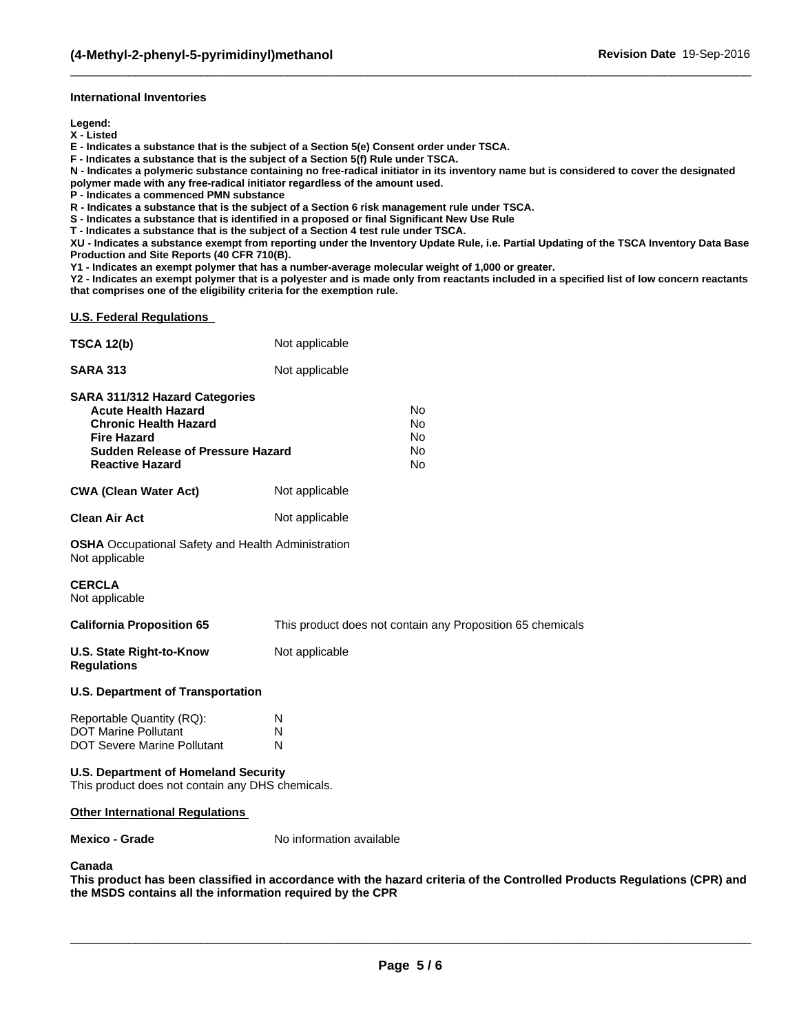#### **International Inventories**

**Legend:**

**X - Listed**

**E - Indicates a substance that is the subject of a Section 5(e) Consent order under TSCA.**

**F - Indicates a substance that is the subject of a Section 5(f) Rule under TSCA.**

**N - Indicates a polymeric substance containing no free-radical initiator in its inventory name but is considered to cover the designated polymer made with any free-radical initiator regardless of the amount used.**

 $\_$  ,  $\_$  ,  $\_$  ,  $\_$  ,  $\_$  ,  $\_$  ,  $\_$  ,  $\_$  ,  $\_$  ,  $\_$  ,  $\_$  ,  $\_$  ,  $\_$  ,  $\_$  ,  $\_$  ,  $\_$  ,  $\_$  ,  $\_$  ,  $\_$  ,  $\_$  ,  $\_$  ,  $\_$  ,  $\_$  ,  $\_$  ,  $\_$  ,  $\_$  ,  $\_$  ,  $\_$  ,  $\_$  ,  $\_$  ,  $\_$  ,  $\_$  ,  $\_$  ,  $\_$  ,  $\_$  ,  $\_$  ,  $\_$  ,

**P - Indicates a commenced PMN substance**

**R - Indicates a substance that is the subject of a Section 6 risk management rule under TSCA.**

**S - Indicates a substance that is identified in a proposed or final Significant New Use Rule**

**T - Indicates a substance that is the subject of a Section 4 test rule under TSCA.**

**XU - Indicates a substance exempt from reporting under the Inventory Update Rule, i.e. Partial Updating of the TSCA Inventory Data Base Production and Site Reports (40 CFR 710(B).**

**Y1 - Indicates an exempt polymer that has a number-average molecular weight of 1,000 or greater.**

**Y2 - Indicates an exempt polymer that is a polyester and is made only from reactants included in a specified list of low concern reactants that comprises one of the eligibility criteria for the exemption rule.**

**U.S. Federal Regulations** 

| <b>TSCA 12(b)</b>                                                                                                                                                                               | Not applicable           |                                                            |
|-------------------------------------------------------------------------------------------------------------------------------------------------------------------------------------------------|--------------------------|------------------------------------------------------------|
| <b>SARA 313</b>                                                                                                                                                                                 | Not applicable           |                                                            |
| <b>SARA 311/312 Hazard Categories</b><br><b>Acute Health Hazard</b><br><b>Chronic Health Hazard</b><br><b>Fire Hazard</b><br><b>Sudden Release of Pressure Hazard</b><br><b>Reactive Hazard</b> |                          | <b>No</b><br>No<br>No<br>No<br>No                          |
| <b>CWA (Clean Water Act)</b>                                                                                                                                                                    | Not applicable           |                                                            |
| <b>Clean Air Act</b>                                                                                                                                                                            | Not applicable           |                                                            |
| <b>OSHA</b> Occupational Safety and Health Administration<br>Not applicable                                                                                                                     |                          |                                                            |
| <b>CERCLA</b><br>Not applicable                                                                                                                                                                 |                          |                                                            |
| <b>California Proposition 65</b>                                                                                                                                                                |                          | This product does not contain any Proposition 65 chemicals |
| <b>U.S. State Right-to-Know</b><br><b>Regulations</b>                                                                                                                                           | Not applicable           |                                                            |
| <b>U.S. Department of Transportation</b>                                                                                                                                                        |                          |                                                            |
| Reportable Quantity (RQ):<br><b>DOT Marine Pollutant</b><br><b>DOT Severe Marine Pollutant</b>                                                                                                  | N<br>N<br>N              |                                                            |
| <b>U.S. Department of Homeland Security</b><br>This product does not contain any DHS chemicals.                                                                                                 |                          |                                                            |
| <b>Other International Regulations</b>                                                                                                                                                          |                          |                                                            |
| <b>Mexico - Grade</b>                                                                                                                                                                           | No information available |                                                            |

**Canada**

**This product has been classified in accordance with the hazard criteria of the Controlled Products Regulations (CPR) and the MSDS contains all the information required by the CPR**